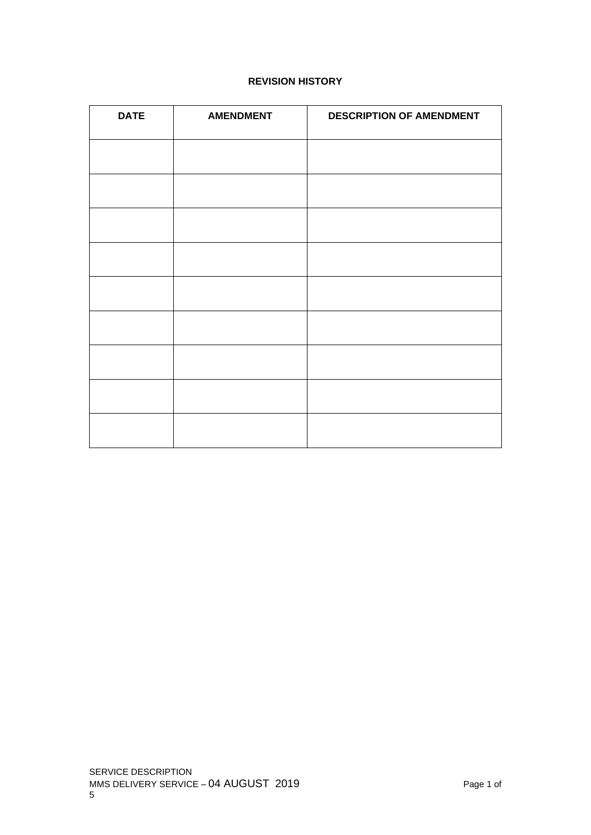# **REVISION HISTORY**

| <b>DATE</b> | <b>AMENDMENT</b> | <b>DESCRIPTION OF AMENDMENT</b> |
|-------------|------------------|---------------------------------|
|             |                  |                                 |
|             |                  |                                 |
|             |                  |                                 |
|             |                  |                                 |
|             |                  |                                 |
|             |                  |                                 |
|             |                  |                                 |
|             |                  |                                 |
|             |                  |                                 |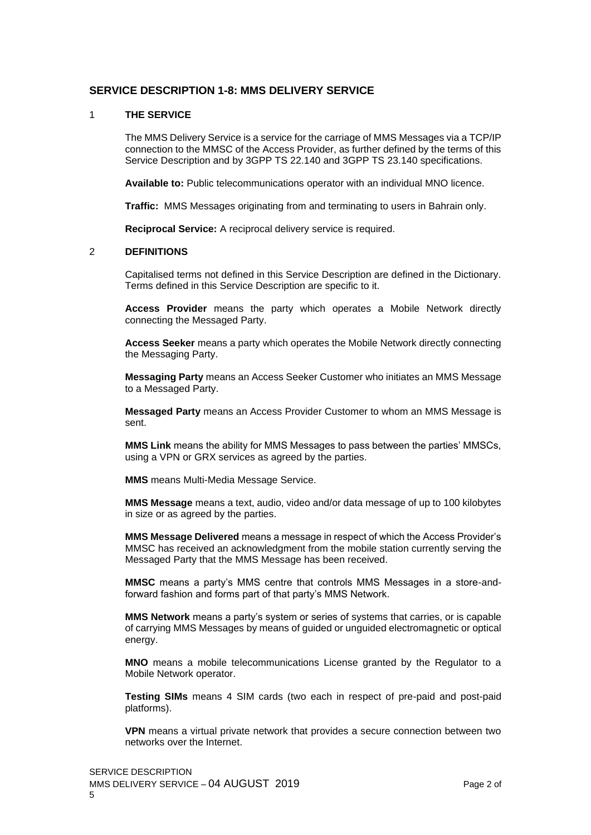# **SERVICE DESCRIPTION 1-8: MMS DELIVERY SERVICE**

### 1 **THE SERVICE**

The MMS Delivery Service is a service for the carriage of MMS Messages via a TCP/IP connection to the MMSC of the Access Provider, as further defined by the terms of this Service Description and by 3GPP TS 22.140 and 3GPP TS 23.140 specifications.

**Available to:** Public telecommunications operator with an individual MNO licence.

**Traffic:** MMS Messages originating from and terminating to users in Bahrain only.

**Reciprocal Service:** A reciprocal delivery service is required.

### 2 **DEFINITIONS**

Capitalised terms not defined in this Service Description are defined in the Dictionary. Terms defined in this Service Description are specific to it.

**Access Provider** means the party which operates a Mobile Network directly connecting the Messaged Party.

**Access Seeker** means a party which operates the Mobile Network directly connecting the Messaging Party.

**Messaging Party** means an Access Seeker Customer who initiates an MMS Message to a Messaged Party.

**Messaged Party** means an Access Provider Customer to whom an MMS Message is sent.

**MMS Link** means the ability for MMS Messages to pass between the parties' MMSCs, using a VPN or GRX services as agreed by the parties.

**MMS** means Multi-Media Message Service.

**MMS Message** means a text, audio, video and/or data message of up to 100 kilobytes in size or as agreed by the parties.

**MMS Message Delivered** means a message in respect of which the Access Provider's MMSC has received an acknowledgment from the mobile station currently serving the Messaged Party that the MMS Message has been received.

**MMSC** means a party's MMS centre that controls MMS Messages in a store-andforward fashion and forms part of that party's MMS Network.

**MMS Network** means a party's system or series of systems that carries, or is capable of carrying MMS Messages by means of guided or unguided electromagnetic or optical energy.

**MNO** means a mobile telecommunications License granted by the Regulator to a Mobile Network operator.

**Testing SIMs** means 4 SIM cards (two each in respect of pre-paid and post-paid platforms).

**VPN** means a virtual private network that provides a secure connection between two networks over the Internet.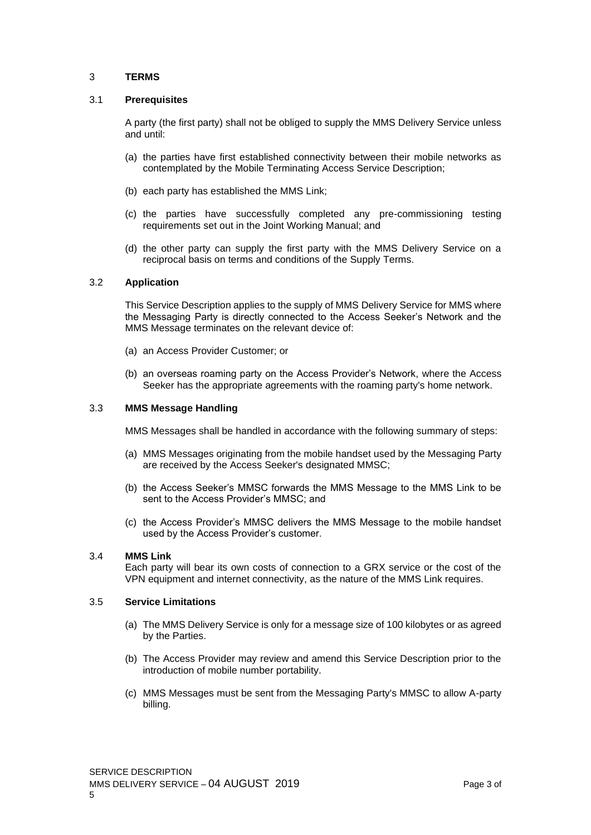# 3 **TERMS**

### 3.1 **Prerequisites**

A party (the first party) shall not be obliged to supply the MMS Delivery Service unless and until:

- (a) the parties have first established connectivity between their mobile networks as contemplated by the Mobile Terminating Access Service Description;
- (b) each party has established the MMS Link;
- (c) the parties have successfully completed any pre-commissioning testing requirements set out in the Joint Working Manual; and
- (d) the other party can supply the first party with the MMS Delivery Service on a reciprocal basis on terms and conditions of the Supply Terms.

# 3.2 **Application**

This Service Description applies to the supply of MMS Delivery Service for MMS where the Messaging Party is directly connected to the Access Seeker's Network and the MMS Message terminates on the relevant device of:

- (a) an Access Provider Customer; or
- (b) an overseas roaming party on the Access Provider's Network, where the Access Seeker has the appropriate agreements with the roaming party's home network.

# 3.3 **MMS Message Handling**

MMS Messages shall be handled in accordance with the following summary of steps:

- (a) MMS Messages originating from the mobile handset used by the Messaging Party are received by the Access Seeker's designated MMSC;
- (b) the Access Seeker's MMSC forwards the MMS Message to the MMS Link to be sent to the Access Provider's MMSC; and
- (c) the Access Provider's MMSC delivers the MMS Message to the mobile handset used by the Access Provider's customer.

### 3.4 **MMS Link**

Each party will bear its own costs of connection to a GRX service or the cost of the VPN equipment and internet connectivity, as the nature of the MMS Link requires.

# 3.5 **Service Limitations**

- (a) The MMS Delivery Service is only for a message size of 100 kilobytes or as agreed by the Parties.
- (b) The Access Provider may review and amend this Service Description prior to the introduction of mobile number portability.
- (c) MMS Messages must be sent from the Messaging Party's MMSC to allow A-party billing.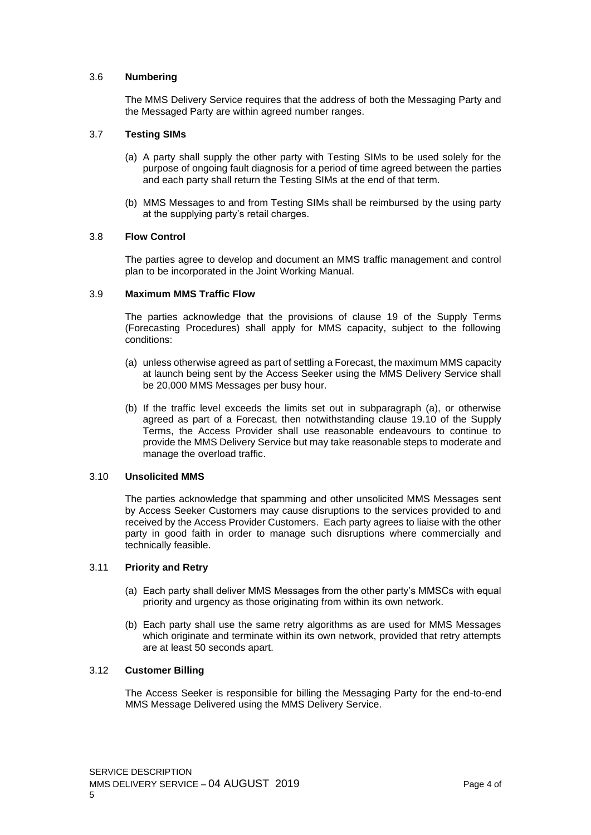# 3.6 **Numbering**

The MMS Delivery Service requires that the address of both the Messaging Party and the Messaged Party are within agreed number ranges.

# 3.7 **Testing SIMs**

- (a) A party shall supply the other party with Testing SIMs to be used solely for the purpose of ongoing fault diagnosis for a period of time agreed between the parties and each party shall return the Testing SIMs at the end of that term.
- (b) MMS Messages to and from Testing SIMs shall be reimbursed by the using party at the supplying party's retail charges.

# 3.8 **Flow Control**

The parties agree to develop and document an MMS traffic management and control plan to be incorporated in the Joint Working Manual.

# 3.9 **Maximum MMS Traffic Flow**

The parties acknowledge that the provisions of clause 19 of the Supply Terms (Forecasting Procedures) shall apply for MMS capacity, subject to the following conditions:

- (a) unless otherwise agreed as part of settling a Forecast, the maximum MMS capacity at launch being sent by the Access Seeker using the MMS Delivery Service shall be 20,000 MMS Messages per busy hour.
- (b) If the traffic level exceeds the limits set out in subparagraph (a), or otherwise agreed as part of a Forecast, then notwithstanding clause 19.10 of the Supply Terms, the Access Provider shall use reasonable endeavours to continue to provide the MMS Delivery Service but may take reasonable steps to moderate and manage the overload traffic.

### 3.10 **Unsolicited MMS**

The parties acknowledge that spamming and other unsolicited MMS Messages sent by Access Seeker Customers may cause disruptions to the services provided to and received by the Access Provider Customers. Each party agrees to liaise with the other party in good faith in order to manage such disruptions where commercially and technically feasible.

### 3.11 **Priority and Retry**

- (a) Each party shall deliver MMS Messages from the other party's MMSCs with equal priority and urgency as those originating from within its own network.
- (b) Each party shall use the same retry algorithms as are used for MMS Messages which originate and terminate within its own network, provided that retry attempts are at least 50 seconds apart.

# 3.12 **Customer Billing**

The Access Seeker is responsible for billing the Messaging Party for the end-to-end MMS Message Delivered using the MMS Delivery Service.